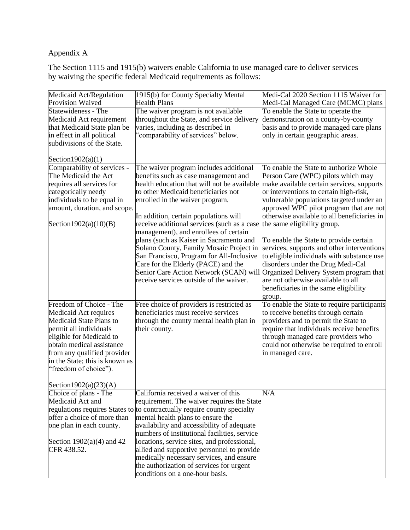# Appendix A

The Section 1115 and 1915(b) waivers enable California to use managed care to deliver services by waiving the specific federal Medicaid requirements as follows:

| Medicaid Act/Regulation        | 1915(b) for County Specialty Mental                                                  | Medi-Cal 2020 Section 1115 Waiver for       |
|--------------------------------|--------------------------------------------------------------------------------------|---------------------------------------------|
| Provision Waived               | <b>Health Plans</b>                                                                  | Medi-Cal Managed Care (MCMC) plans          |
| Statewideness - The            | The waiver program is not available                                                  | To enable the State to operate the          |
| Medicaid Act requirement       | throughout the State, and service delivery                                           | demonstration on a county-by-county         |
| that Medicaid State plan be    | varies, including as described in                                                    | basis and to provide managed care plans     |
| in effect in all political     | 'comparability of services" below.                                                   | only in certain geographic areas.           |
| subdivisions of the State.     |                                                                                      |                                             |
|                                |                                                                                      |                                             |
| Section $1902(a)(1)$           |                                                                                      |                                             |
| Comparability of services -    | The waiver program includes additional                                               | To enable the State to authorize Whole      |
| The Medicaid the Act           | benefits such as case management and                                                 | Person Care (WPC) pilots which may          |
| requires all services for      | health education that will not be available                                          | make available certain services, supports   |
| categorically needy            | to other Medicaid beneficiaries not                                                  | or interventions to certain high-risk,      |
| individuals to be equal in     | enrolled in the waiver program.                                                      | vulnerable populations targeted under an    |
| amount, duration, and scope.   |                                                                                      | approved WPC pilot program that are not     |
|                                | In addition, certain populations will                                                | otherwise available to all beneficiaries in |
| Section1902(a)(10)(B)          | receive additional services (such as a case<br>management), and enrollees of certain | the same eligibility group.                 |
|                                | plans (such as Kaiser in Sacramento and                                              | To enable the State to provide certain      |
|                                | Solano County, Family Mosaic Project in                                              | services, supports and other interventions  |
|                                | San Francisco, Program for All-Inclusive                                             | to eligible individuals with substance use  |
|                                | Care for the Elderly (PACE) and the                                                  | disorders under the Drug Medi-Cal           |
|                                | Senior Care Action Network (SCAN) will                                               | Organized Delivery System program that      |
|                                | receive services outside of the waiver.                                              | are not otherwise available to all          |
|                                |                                                                                      | beneficiaries in the same eligibility       |
|                                |                                                                                      | group.                                      |
| Freedom of Choice - The        | Free choice of providers is restricted as                                            | To enable the State to require participants |
| Medicaid Act requires          | beneficiaries must receive services                                                  | to receive benefits through certain         |
| Medicaid State Plans to        | through the county mental health plan in                                             | providers and to permit the State to        |
| permit all individuals         | their county.                                                                        | require that individuals receive benefits   |
| eligible for Medicaid to       |                                                                                      | through managed care providers who          |
| obtain medical assistance      |                                                                                      | could not otherwise be required to enroll   |
| from any qualified provider    |                                                                                      | in managed care.                            |
| in the State; this is known as |                                                                                      |                                             |
| "freedom of choice").          |                                                                                      |                                             |
|                                |                                                                                      |                                             |
| Section1902(a) $(23)(A)$       |                                                                                      |                                             |
| Choice of plans - The          | California received a waiver of this                                                 | N/A                                         |
| Medicaid Act and               | requirement. The waiver requires the State                                           |                                             |
|                                | regulations requires States to to contractually require county specialty             |                                             |
| offer a choice of more than    | mental health plans to ensure the                                                    |                                             |
| one plan in each county.       | availability and accessibility of adequate                                           |                                             |
|                                | numbers of institutional facilities, service                                         |                                             |
| Section $1902(a)(4)$ and 42    | locations, service sites, and professional,                                          |                                             |
| CFR 438.52.                    | allied and supportive personnel to provide                                           |                                             |
|                                | medically necessary services, and ensure                                             |                                             |
|                                | the authorization of services for urgent                                             |                                             |
|                                | conditions on a one-hour basis.                                                      |                                             |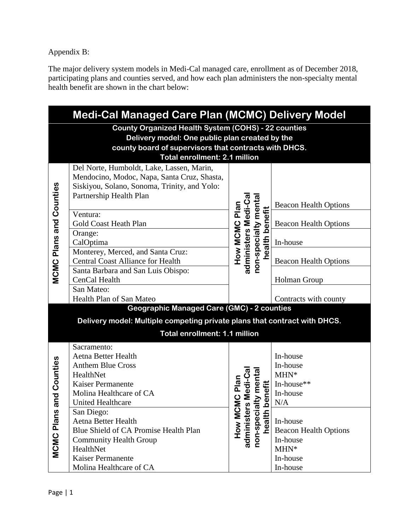Appendix B:

The major delivery system models in Medi-Cal managed care, enrollment as of December 2018, participating plans and counties served, and how each plan administers the non-specialty mental health benefit are shown in the chart below:

| <b>Medi-Cal Managed Care Plan (MCMC) Delivery Model</b> |                                                                                                              |                                                                               |                              |  |  |  |  |  |
|---------------------------------------------------------|--------------------------------------------------------------------------------------------------------------|-------------------------------------------------------------------------------|------------------------------|--|--|--|--|--|
|                                                         | <b>County Organized Health System (COHS) - 22 counties</b><br>Delivery model: One public plan created by the |                                                                               |                              |  |  |  |  |  |
|                                                         | county board of supervisors that contracts with DHCS.                                                        |                                                                               |                              |  |  |  |  |  |
|                                                         | Total enrollment: 2.1 million                                                                                |                                                                               |                              |  |  |  |  |  |
|                                                         | Del Norte, Humboldt, Lake, Lassen, Marin,                                                                    |                                                                               |                              |  |  |  |  |  |
|                                                         | Mendocino, Modoc, Napa, Santa Cruz, Shasta,                                                                  |                                                                               |                              |  |  |  |  |  |
|                                                         | Siskiyou, Solano, Sonoma, Trinity, and Yolo:                                                                 |                                                                               |                              |  |  |  |  |  |
|                                                         | Partnership Health Plan                                                                                      |                                                                               |                              |  |  |  |  |  |
|                                                         |                                                                                                              | administers Medi-Ca<br>non-specialty menta                                    | <b>Beacon Health Options</b> |  |  |  |  |  |
|                                                         | Ventura:                                                                                                     |                                                                               |                              |  |  |  |  |  |
|                                                         | Gold Coast Heath Plan                                                                                        | How MCMC Plan<br>health benefit                                               | <b>Beacon Health Options</b> |  |  |  |  |  |
|                                                         | Orange:                                                                                                      |                                                                               |                              |  |  |  |  |  |
| <b>MCMC Plans and Counties</b>                          | CalOptima                                                                                                    |                                                                               | In-house                     |  |  |  |  |  |
|                                                         | Monterey, Merced, and Santa Cruz:                                                                            |                                                                               |                              |  |  |  |  |  |
|                                                         | <b>Central Coast Alliance for Health</b>                                                                     |                                                                               | <b>Beacon Health Options</b> |  |  |  |  |  |
|                                                         | Santa Barbara and San Luis Obispo:                                                                           |                                                                               |                              |  |  |  |  |  |
|                                                         | CenCal Health                                                                                                |                                                                               | <b>Holman Group</b>          |  |  |  |  |  |
|                                                         | San Mateo:                                                                                                   |                                                                               |                              |  |  |  |  |  |
|                                                         | Health Plan of San Mateo                                                                                     |                                                                               | Contracts with county        |  |  |  |  |  |
|                                                         | <b>Geographic Managed Care (GMC) - 2 counties</b>                                                            |                                                                               |                              |  |  |  |  |  |
|                                                         | Delivery model: Multiple competing private plans that contract with DHCS.                                    |                                                                               |                              |  |  |  |  |  |
|                                                         | <b>Total enrollment: 1.1 million</b>                                                                         |                                                                               |                              |  |  |  |  |  |
|                                                         | Sacramento:                                                                                                  |                                                                               |                              |  |  |  |  |  |
|                                                         | Aetna Better Health                                                                                          |                                                                               | In-house                     |  |  |  |  |  |
|                                                         | <b>Anthem Blue Cross</b>                                                                                     |                                                                               | In-house                     |  |  |  |  |  |
|                                                         | HealthNet                                                                                                    |                                                                               | $MHN*$                       |  |  |  |  |  |
|                                                         | <b>Kaiser Permanente</b>                                                                                     |                                                                               | In-house**                   |  |  |  |  |  |
| nd Counties                                             | Molina Healthcare of CA                                                                                      |                                                                               | In-house                     |  |  |  |  |  |
|                                                         | United Healthcare                                                                                            |                                                                               | N/A                          |  |  |  |  |  |
| <b>MCMC Plans a</b>                                     | San Diego:                                                                                                   | How MCMC Plan<br>dministers Medi-Cal<br>on-specialty mental<br>health benefit |                              |  |  |  |  |  |
|                                                         | Aetna Better Health                                                                                          |                                                                               | In-house                     |  |  |  |  |  |
|                                                         | Blue Shield of CA Promise Health Plan                                                                        |                                                                               | <b>Beacon Health Options</b> |  |  |  |  |  |
|                                                         | <b>Community Health Group</b>                                                                                | administers<br>non-specialt<br>health be                                      | In-house                     |  |  |  |  |  |
|                                                         | HealthNet                                                                                                    |                                                                               | $MHN*$                       |  |  |  |  |  |
|                                                         | Kaiser Permanente                                                                                            |                                                                               | In-house                     |  |  |  |  |  |
|                                                         | Molina Healthcare of CA                                                                                      |                                                                               | In-house                     |  |  |  |  |  |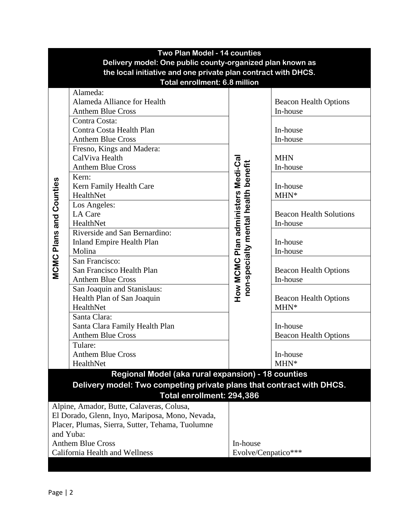| Two Plan Model - 14 counties                                  |                                                                      |                                                                          |                                |  |  |  |  |  |
|---------------------------------------------------------------|----------------------------------------------------------------------|--------------------------------------------------------------------------|--------------------------------|--|--|--|--|--|
| Delivery model: One public county-organized plan known as     |                                                                      |                                                                          |                                |  |  |  |  |  |
| the local initiative and one private plan contract with DHCS. |                                                                      |                                                                          |                                |  |  |  |  |  |
| <b>Total enrollment: 6.8 million</b>                          |                                                                      |                                                                          |                                |  |  |  |  |  |
|                                                               | Alameda:                                                             |                                                                          |                                |  |  |  |  |  |
|                                                               | Alameda Alliance for Health                                          |                                                                          | <b>Beacon Health Options</b>   |  |  |  |  |  |
|                                                               | <b>Anthem Blue Cross</b>                                             |                                                                          | In-house                       |  |  |  |  |  |
|                                                               | Contra Costa:                                                        |                                                                          |                                |  |  |  |  |  |
|                                                               | Contra Costa Health Plan                                             |                                                                          |                                |  |  |  |  |  |
|                                                               | <b>Anthem Blue Cross</b>                                             |                                                                          | In-house<br>In-house           |  |  |  |  |  |
|                                                               | Fresno, Kings and Madera:                                            |                                                                          |                                |  |  |  |  |  |
|                                                               | CalViva Health                                                       |                                                                          | <b>MHN</b>                     |  |  |  |  |  |
|                                                               | <b>Anthem Blue Cross</b>                                             |                                                                          | In-house                       |  |  |  |  |  |
|                                                               | Kern:                                                                |                                                                          |                                |  |  |  |  |  |
|                                                               | Kern Family Health Care                                              |                                                                          | In-house                       |  |  |  |  |  |
|                                                               | HealthNet                                                            |                                                                          | $MHN*$                         |  |  |  |  |  |
| <b>MCMC Plans and Counties</b>                                | Los Angeles:                                                         |                                                                          |                                |  |  |  |  |  |
|                                                               | LA Care                                                              |                                                                          | <b>Beacon Health Solutions</b> |  |  |  |  |  |
|                                                               | HealthNet                                                            |                                                                          | In-house                       |  |  |  |  |  |
|                                                               | Riverside and San Bernardino:                                        |                                                                          |                                |  |  |  |  |  |
|                                                               | <b>Inland Empire Health Plan</b>                                     | How MCMC Plan administers Medi-Ca<br>non-specialty mental health benefit | In-house                       |  |  |  |  |  |
|                                                               | Molina                                                               |                                                                          | In-house                       |  |  |  |  |  |
|                                                               | San Francisco:                                                       |                                                                          |                                |  |  |  |  |  |
|                                                               | San Francisco Health Plan                                            |                                                                          | <b>Beacon Health Options</b>   |  |  |  |  |  |
|                                                               | <b>Anthem Blue Cross</b>                                             |                                                                          | In-house                       |  |  |  |  |  |
|                                                               | San Joaquin and Stanislaus:                                          |                                                                          |                                |  |  |  |  |  |
|                                                               | Health Plan of San Joaquin                                           |                                                                          | <b>Beacon Health Options</b>   |  |  |  |  |  |
|                                                               | HealthNet                                                            |                                                                          | $MHN*$                         |  |  |  |  |  |
|                                                               | Santa Clara:                                                         |                                                                          |                                |  |  |  |  |  |
|                                                               | Santa Clara Family Health Plan                                       |                                                                          | In-house                       |  |  |  |  |  |
|                                                               | <b>Anthem Blue Cross</b>                                             |                                                                          | <b>Beacon Health Options</b>   |  |  |  |  |  |
|                                                               | Tulare:                                                              |                                                                          |                                |  |  |  |  |  |
|                                                               | <b>Anthem Blue Cross</b>                                             |                                                                          | In-house                       |  |  |  |  |  |
|                                                               | HealthNet                                                            |                                                                          | $MHN*$                         |  |  |  |  |  |
|                                                               | Regional Model (aka rural expansion) - 18 counties                   |                                                                          |                                |  |  |  |  |  |
|                                                               | Delivery model: Two competing private plans that contract with DHCS. |                                                                          |                                |  |  |  |  |  |
| Total enrollment: 294,386                                     |                                                                      |                                                                          |                                |  |  |  |  |  |
| Alpine, Amador, Butte, Calaveras, Colusa,                     |                                                                      |                                                                          |                                |  |  |  |  |  |
|                                                               | El Dorado, Glenn, Inyo, Mariposa, Mono, Nevada,                      |                                                                          |                                |  |  |  |  |  |
|                                                               | Placer, Plumas, Sierra, Sutter, Tehama, Tuolumne                     |                                                                          |                                |  |  |  |  |  |
|                                                               | and Yuba:                                                            |                                                                          |                                |  |  |  |  |  |
|                                                               | <b>Anthem Blue Cross</b>                                             | In-house                                                                 |                                |  |  |  |  |  |
|                                                               | California Health and Wellness                                       | Evolve/Cenpatico***                                                      |                                |  |  |  |  |  |
|                                                               |                                                                      |                                                                          |                                |  |  |  |  |  |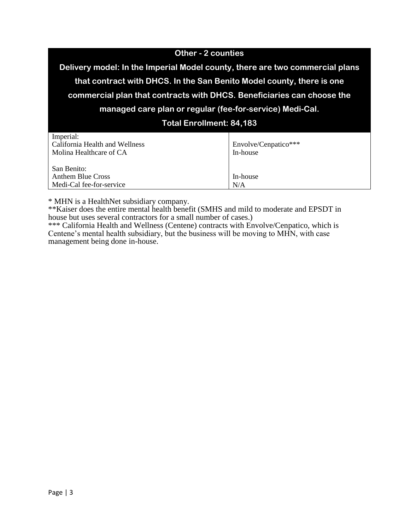| <b>Other - 2 counties</b>                                                    |                      |  |  |  |
|------------------------------------------------------------------------------|----------------------|--|--|--|
| Delivery model: In the Imperial Model county, there are two commercial plans |                      |  |  |  |
| that contract with DHCS. In the San Benito Model county, there is one        |                      |  |  |  |
| commercial plan that contracts with DHCS. Beneficiaries can choose the       |                      |  |  |  |
| managed care plan or regular (fee-for-service) Medi-Cal.                     |                      |  |  |  |
| <b>Total Enrollment: 84,183</b>                                              |                      |  |  |  |
| Imperial:                                                                    |                      |  |  |  |
| California Health and Wellness                                               | Envolve/Cenpatico*** |  |  |  |
| Molina Healthcare of CA                                                      | In-house             |  |  |  |
| San Benito:                                                                  |                      |  |  |  |
| <b>Anthem Blue Cross</b>                                                     | In-house             |  |  |  |
| Medi-Cal fee-for-service                                                     | N/A                  |  |  |  |
|                                                                              |                      |  |  |  |

\* MHN is a HealthNet subsidiary company.

\*\*Kaiser does the entire mental health benefit (SMHS and mild to moderate and EPSDT in house but uses several contractors for a small number of cases.)

\*\*\* California Health and Wellness (Centene) contracts with Envolve/Cenpatico, which is Centene's mental health subsidiary, but the business will be moving to MHN, with case management being done in-house.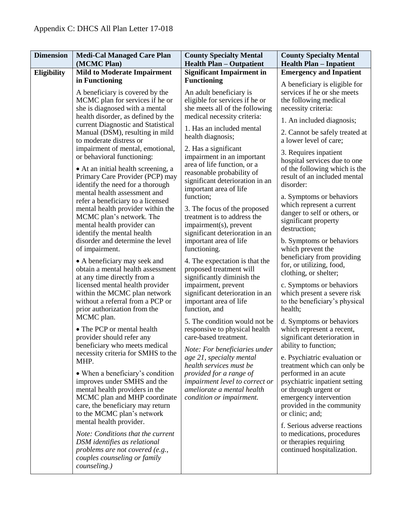| <b>Dimension</b> | <b>Medi-Cal Managed Care Plan</b><br>(MCMC Plan)                                                                                                                                                                                                                                                                 | <b>County Specialty Mental</b><br><b>Health Plan - Outpatient</b>                                                                                                                                                                  | <b>County Specialty Mental</b><br><b>Health Plan - Inpatient</b>                                                                                                                                                        |
|------------------|------------------------------------------------------------------------------------------------------------------------------------------------------------------------------------------------------------------------------------------------------------------------------------------------------------------|------------------------------------------------------------------------------------------------------------------------------------------------------------------------------------------------------------------------------------|-------------------------------------------------------------------------------------------------------------------------------------------------------------------------------------------------------------------------|
| Eligibility      | <b>Mild to Moderate Impairment</b>                                                                                                                                                                                                                                                                               | <b>Significant Impairment in</b>                                                                                                                                                                                                   | <b>Emergency and Inpatient</b>                                                                                                                                                                                          |
|                  | in Functioning                                                                                                                                                                                                                                                                                                   | <b>Functioning</b>                                                                                                                                                                                                                 | A beneficiary is eligible for                                                                                                                                                                                           |
|                  | A beneficiary is covered by the<br>MCMC plan for services if he or<br>she is diagnosed with a mental<br>health disorder, as defined by the<br>current Diagnostic and Statistical<br>Manual (DSM), resulting in mild<br>to moderate distress or<br>impairment of mental, emotional,<br>or behavioral functioning: | An adult beneficiary is<br>eligible for services if he or<br>she meets all of the following<br>medical necessity criteria:<br>1. Has an included mental<br>health diagnosis;<br>2. Has a significant<br>impairment in an important | services if he or she meets<br>the following medical<br>necessity criteria:<br>1. An included diagnosis;<br>2. Cannot be safely treated at<br>a lower level of care;<br>3. Requires inpatient                           |
|                  | • At an initial health screening, a<br>Primary Care Provider (PCP) may<br>identify the need for a thorough                                                                                                                                                                                                       | area of life function, or a<br>reasonable probability of<br>significant deterioration in an<br>important area of life                                                                                                              | hospital services due to one<br>of the following which is the<br>result of an included mental<br>disorder:                                                                                                              |
|                  | mental health assessment and<br>refer a beneficiary to a licensed<br>mental health provider within the<br>MCMC plan's network. The<br>mental health provider can<br>identify the mental health<br>disorder and determine the level                                                                               | function:<br>3. The focus of the proposed<br>treatment is to address the<br>impairment(s), prevent<br>significant deterioration in an<br>important area of life                                                                    | a. Symptoms or behaviors<br>which represent a current<br>danger to self or others, or<br>significant property<br>destruction;<br>b. Symptoms or behaviors                                                               |
|                  | of impairment.<br>• A beneficiary may seek and<br>obtain a mental health assessment<br>at any time directly from a<br>licensed mental health provider<br>within the MCMC plan network                                                                                                                            | functioning.<br>4. The expectation is that the<br>proposed treatment will<br>significantly diminish the<br>impairment, prevent<br>significant deterioration in an                                                                  | which prevent the<br>beneficiary from providing<br>for, or utilizing, food,<br>clothing, or shelter;<br>c. Symptoms or behaviors<br>which present a severe risk                                                         |
|                  | without a referral from a PCP or<br>prior authorization from the<br>MCMC plan.<br>• The PCP or mental health<br>provider should refer any<br>beneficiary who meets medical                                                                                                                                       | important area of life<br>function, and<br>5. The condition would not be<br>responsive to physical health<br>care-based treatment.<br>Note: For beneficiaries under                                                                | to the beneficiary's physical<br>health;<br>d. Symptoms or behaviors<br>which represent a recent,<br>significant deterioration in<br>ability to function;                                                               |
|                  | necessity criteria for SMHS to the<br>MHP.<br>• When a beneficiary's condition<br>improves under SMHS and the<br>mental health providers in the<br>MCMC plan and MHP coordinate<br>care, the beneficiary may return<br>to the MCMC plan's network                                                                | age 21, specialty mental<br>health services must be<br>provided for a range of<br>impairment level to correct or<br>ameliorate a mental health<br>condition or impairment.                                                         | e. Psychiatric evaluation or<br>treatment which can only be<br>performed in an acute<br>psychiatric inpatient setting<br>or through urgent or<br>emergency intervention<br>provided in the community<br>or clinic; and; |
|                  | mental health provider.<br>Note: Conditions that the current<br>DSM identifies as relational<br>problems are not covered (e.g.,<br>couples counseling or family<br>counseling.)                                                                                                                                  |                                                                                                                                                                                                                                    | f. Serious adverse reactions<br>to medications, procedures<br>or therapies requiring<br>continued hospitalization.                                                                                                      |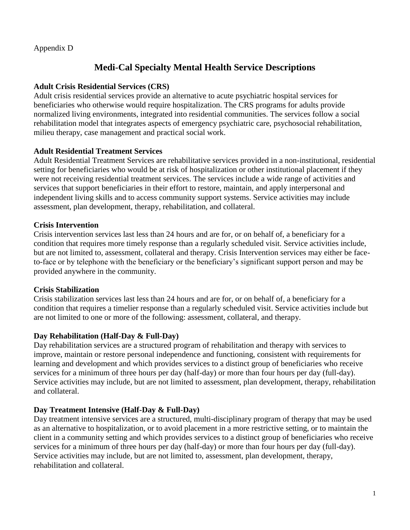#### Appendix D

# **Medi-Cal Specialty Mental Health Service Descriptions**

### **Adult Crisis Residential Services (CRS)**

Adult crisis residential services provide an alternative to acute psychiatric hospital services for beneficiaries who otherwise would require hospitalization. The CRS programs for adults provide normalized living environments, integrated into residential communities. The services follow a social rehabilitation model that integrates aspects of emergency psychiatric care, psychosocial rehabilitation, milieu therapy, case management and practical social work.

#### **Adult Residential Treatment Services**

Adult Residential Treatment Services are rehabilitative services provided in a non-institutional, residential setting for beneficiaries who would be at risk of hospitalization or other institutional placement if they were not receiving residential treatment services. The services include a wide range of activities and services that support beneficiaries in their effort to restore, maintain, and apply interpersonal and independent living skills and to access community support systems. Service activities may include assessment, plan development, therapy, rehabilitation, and collateral.

## **Crisis Intervention**

Crisis intervention services last less than 24 hours and are for, or on behalf of, a beneficiary for a condition that requires more timely response than a regularly scheduled visit. Service activities include, but are not limited to, assessment, collateral and therapy. Crisis Intervention services may either be faceto-face or by telephone with the beneficiary or the beneficiary's significant support person and may be provided anywhere in the community.

#### **Crisis Stabilization**

Crisis stabilization services last less than 24 hours and are for, or on behalf of, a beneficiary for a condition that requires a timelier response than a regularly scheduled visit. Service activities include but are not limited to one or more of the following: assessment, collateral, and therapy.

# **Day Rehabilitation (Half-Day & Full-Day)**

Day rehabilitation services are a structured program of rehabilitation and therapy with services to improve, maintain or restore personal independence and functioning, consistent with requirements for learning and development and which provides services to a distinct group of beneficiaries who receive services for a minimum of three hours per day (half-day) or more than four hours per day (full-day). Service activities may include, but are not limited to assessment, plan development, therapy, rehabilitation and collateral.

# **Day Treatment Intensive (Half-Day & Full-Day)**

Day treatment intensive services are a structured, multi-disciplinary program of therapy that may be used as an alternative to hospitalization, or to avoid placement in a more restrictive setting, or to maintain the client in a community setting and which provides services to a distinct group of beneficiaries who receive services for a minimum of three hours per day (half-day) or more than four hours per day (full-day). Service activities may include, but are not limited to, assessment, plan development, therapy, rehabilitation and collateral.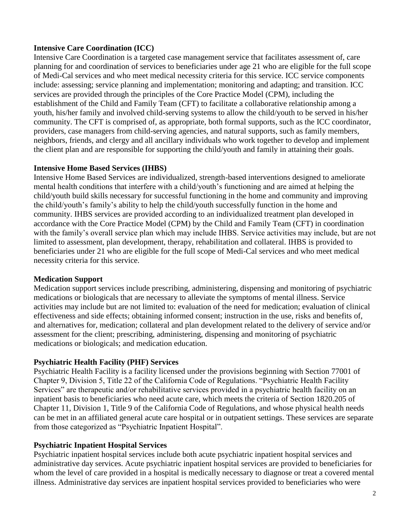#### **Intensive Care Coordination (ICC)**

Intensive Care Coordination is a targeted case management service that facilitates assessment of, care planning for and coordination of services to beneficiaries under age 21 who are eligible for the full scope of Medi-Cal services and who meet medical necessity criteria for this service. ICC service components include: assessing; service planning and implementation; monitoring and adapting; and transition. ICC services are provided through the principles of the Core Practice Model (CPM), including the establishment of the Child and Family Team (CFT) to facilitate a collaborative relationship among a youth, his/her family and involved child-serving systems to allow the child/youth to be served in his/her community. The CFT is comprised of, as appropriate, both formal supports, such as the ICC coordinator, providers, case managers from child-serving agencies, and natural supports, such as family members, neighbors, friends, and clergy and all ancillary individuals who work together to develop and implement the client plan and are responsible for supporting the child/youth and family in attaining their goals.

#### **Intensive Home Based Services (IHBS)**

Intensive Home Based Services are individualized, strength-based interventions designed to ameliorate mental health conditions that interfere with a child/youth's functioning and are aimed at helping the child/youth build skills necessary for successful functioning in the home and community and improving the child/youth's family's ability to help the child/youth successfully function in the home and community. IHBS services are provided according to an individualized treatment plan developed in accordance with the Core Practice Model (CPM) by the Child and Family Team (CFT) in coordination with the family's overall service plan which may include IHBS. Service activities may include, but are not limited to assessment, plan development, therapy, rehabilitation and collateral. IHBS is provided to beneficiaries under 21 who are eligible for the full scope of Medi-Cal services and who meet medical necessity criteria for this service.

#### **Medication Support**

Medication support services include prescribing, administering, dispensing and monitoring of psychiatric medications or biologicals that are necessary to alleviate the symptoms of mental illness. Service activities may include but are not limited to: evaluation of the need for medication; evaluation of clinical effectiveness and side effects; obtaining informed consent; instruction in the use, risks and benefits of, and alternatives for, medication; collateral and plan development related to the delivery of service and/or assessment for the client; prescribing, administering, dispensing and monitoring of psychiatric medications or biologicals; and medication education.

#### **Psychiatric Health Facility (PHF) Services**

Psychiatric Health Facility is a facility licensed under the provisions beginning with Section 77001 of Chapter 9, Division 5, Title 22 of the California Code of Regulations. "Psychiatric Health Facility Services" are therapeutic and/or rehabilitative services provided in a psychiatric health facility on an inpatient basis to beneficiaries who need acute care, which meets the criteria of Section 1820.205 of Chapter 11, Division 1, Title 9 of the California Code of Regulations, and whose physical health needs can be met in an affiliated general acute care hospital or in outpatient settings. These services are separate from those categorized as "Psychiatric Inpatient Hospital".

#### **Psychiatric Inpatient Hospital Services**

Psychiatric inpatient hospital services include both acute psychiatric inpatient hospital services and administrative day services. Acute psychiatric inpatient hospital services are provided to beneficiaries for whom the level of care provided in a hospital is medically necessary to diagnose or treat a covered mental illness. Administrative day services are inpatient hospital services provided to beneficiaries who were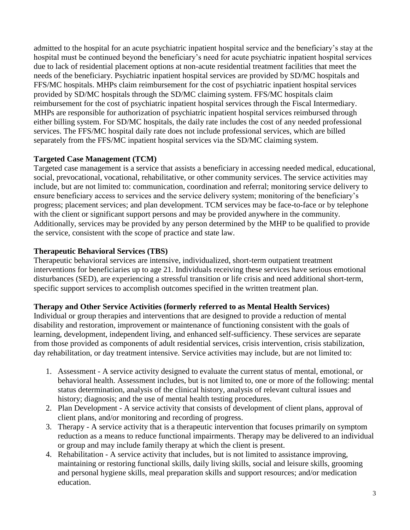admitted to the hospital for an acute psychiatric inpatient hospital service and the beneficiary's stay at the hospital must be continued beyond the beneficiary's need for acute psychiatric inpatient hospital services due to lack of residential placement options at non-acute residential treatment facilities that meet the needs of the beneficiary. Psychiatric inpatient hospital services are provided by SD/MC hospitals and FFS/MC hospitals. MHPs claim reimbursement for the cost of psychiatric inpatient hospital services provided by SD/MC hospitals through the SD/MC claiming system. FFS/MC hospitals claim reimbursement for the cost of psychiatric inpatient hospital services through the Fiscal Intermediary. MHPs are responsible for authorization of psychiatric inpatient hospital services reimbursed through either billing system. For SD/MC hospitals, the daily rate includes the cost of any needed professional services. The FFS/MC hospital daily rate does not include professional services, which are billed separately from the FFS/MC inpatient hospital services via the SD/MC claiming system.

#### **Targeted Case Management (TCM)**

Targeted case management is a service that assists a beneficiary in accessing needed medical, educational, social, prevocational, vocational, rehabilitative, or other community services. The service activities may include, but are not limited to: communication, coordination and referral; monitoring service delivery to ensure beneficiary access to services and the service delivery system; monitoring of the beneficiary's progress; placement services; and plan development. TCM services may be face-to-face or by telephone with the client or significant support persons and may be provided anywhere in the community. Additionally, services may be provided by any person determined by the MHP to be qualified to provide the service, consistent with the scope of practice and state law.

## **Therapeutic Behavioral Services (TBS)**

Therapeutic behavioral services are intensive, individualized, short-term outpatient treatment interventions for beneficiaries up to age 21. Individuals receiving these services have serious emotional disturbances (SED), are experiencing a stressful transition or life crisis and need additional short-term, specific support services to accomplish outcomes specified in the written treatment plan.

#### **Therapy and Other Service Activities (formerly referred to as Mental Health Services)**

Individual or group therapies and interventions that are designed to provide a reduction of mental disability and restoration, improvement or maintenance of functioning consistent with the goals of learning, development, independent living, and enhanced self-sufficiency. These services are separate from those provided as components of adult residential services, crisis intervention, crisis stabilization, day rehabilitation, or day treatment intensive. Service activities may include, but are not limited to:

- 1. Assessment A service activity designed to evaluate the current status of mental, emotional, or behavioral health. Assessment includes, but is not limited to, one or more of the following: mental status determination, analysis of the clinical history, analysis of relevant cultural issues and history; diagnosis; and the use of mental health testing procedures.
- 2. Plan Development A service activity that consists of development of client plans, approval of client plans, and/or monitoring and recording of progress.
- 3. Therapy A service activity that is a therapeutic intervention that focuses primarily on symptom reduction as a means to reduce functional impairments. Therapy may be delivered to an individual or group and may include family therapy at which the client is present.
- 4. Rehabilitation A service activity that includes, but is not limited to assistance improving, maintaining or restoring functional skills, daily living skills, social and leisure skills, grooming and personal hygiene skills, meal preparation skills and support resources; and/or medication education.